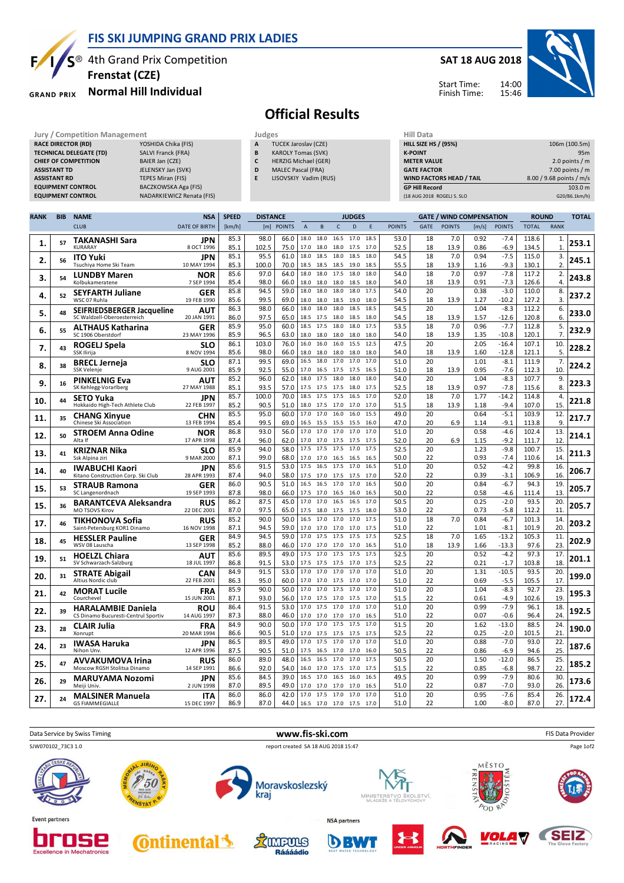

### **FIS SKI JUMPING GRAND PRIX LADIES**

S<sup>®</sup> 4th Grand Prix Competition **Frenstat (CZE)**

#### **Normal Hill Individual GRAND PRIX**

### **SAT 18 AUG 2018**



Start Time: Finish Time:

# **Official Results**

|                                           | <b>Jury / Competition Management</b> |                                |                           |              |                                  | Judges                      |                                 |      |           |              |                                 |                | <b>Hill Data</b>   |                             |                            |       |                   |                          |             |               |
|-------------------------------------------|--------------------------------------|--------------------------------|---------------------------|--------------|----------------------------------|-----------------------------|---------------------------------|------|-----------|--------------|---------------------------------|----------------|--------------------|-----------------------------|----------------------------|-------|-------------------|--------------------------|-------------|---------------|
|                                           |                                      | <b>RACE DIRECTOR (RD)</b>      | YOSHIDA Chika (FIS)       |              | A                                | <b>TUCEK Jaroslav (CZE)</b> |                                 |      |           |              |                                 |                |                    | <b>HILL SIZE HS / (95%)</b> |                            |       |                   |                          |             | 106m (100.5m) |
|                                           |                                      | <b>TECHNICAL DELEGATE (TD)</b> | SALVI Franck (FRA)        |              | <b>KAROLY Tomas (SVK)</b><br>B   |                             |                                 |      |           |              |                                 | <b>K-POINT</b> |                    |                             |                            |       | 95 <sub>m</sub>   |                          |             |               |
|                                           |                                      | <b>CHIEF OF COMPETITION</b>    | BAIER Jan (CZE)           |              | C                                | HERZIG Michael (GER)        |                                 |      |           |              |                                 |                | <b>METER VALUE</b> |                             |                            |       |                   | 2.0 points $/m$          |             |               |
| JELENSKY Jan (SVK)<br><b>ASSISTANT TD</b> |                                      |                                |                           | D            | <b>MALEC Pascal (FRA)</b>        |                             |                                 |      |           |              |                                 |                | <b>GATE FACTOR</b> |                             |                            |       | $7.00$ points / m |                          |             |               |
|                                           | <b>ASSISTANT RD</b>                  |                                | TEPES Miran (FIS)         |              | E                                | LISOVSKIY Vadim (RUS)       |                                 |      |           |              |                                 |                |                    |                             | WIND FACTORS HEAD / TAIL   |       |                   | 8.00 / 9.68 points / m/s |             |               |
|                                           |                                      | <b>EQUIPMENT CONTROL</b>       | BACZKOWSKA Aga (FIS)      |              |                                  |                             |                                 |      |           |              |                                 |                |                    | <b>GP Hill Record</b>       |                            |       |                   |                          |             | 103.0 m       |
|                                           |                                      | <b>EQUIPMENT CONTROL</b>       | NADARKIEWICZ Renata (FIS) |              |                                  |                             |                                 |      |           |              |                                 |                |                    |                             | (18 AUG 2018 ROGEL) S. SLO |       |                   |                          |             | G20/86.1km/h) |
|                                           |                                      |                                |                           |              |                                  |                             |                                 |      |           |              |                                 |                |                    |                             |                            |       |                   |                          |             |               |
| <b>RANK</b>                               | <b>NAME</b><br><b>BIB</b>            |                                | <b>NSA</b>                | <b>SPEED</b> | <b>DISTANCE</b><br><b>JUDGES</b> |                             |                                 |      |           |              | <b>GATE / WIND COMPENSATION</b> |                |                    |                             | <b>ROUND</b>               |       | <b>TOTAI</b>      |                          |             |               |
|                                           |                                      | <b>CLUB</b>                    | <b>DATE OF BIRTH</b>      | [km/h]       |                                  | [m] POINTS                  |                                 | R    |           | <sub>D</sub> |                                 | <b>POINTS</b>  |                    | <b>GATE</b>                 | <b>POINTS</b>              | [m/s] | <b>POINTS</b>     | <b>TOTAL</b>             | <b>RANK</b> |               |
|                                           | 57                                   | <b>TAKANASHI Sara</b>          | <b>JPN</b>                | 85.3         | 98.0                             | 66.0                        | 18.0                            | 18.0 | 16.5      |              | 17.0 18.5                       |                | 53.0               | 18                          | 7.0                        | 0.92  | $-7.4$            | 118.6                    |             | 253.1         |
| ı.                                        |                                      | <b>KURARAY</b>                 | 8 OCT 1996                | 85.1         | 102.5                            |                             | 75.0   17.0 18.0 18.0 17.5 17.0 |      |           |              |                                 | 52.5           |                    | 18                          | 13.9                       | 0.86  | $-6.9$            | 134.5                    |             |               |
| 2.                                        | 56                                   | <b>ITO Yuki</b>                | JPN                       | 85.1         | 95.5                             |                             | 61.0 18.0 18.5 18.0 18.5 18.0   |      |           |              |                                 | 54.5           |                    | 18                          | 7.0                        | 0.94  | $-7.5$            | 115.0                    |             | 245.1         |
|                                           |                                      | Tsuchiya Home Ski Team         | 10 MAY 1994               | 85.3         | 100.0                            |                             | 70.0 18.5 18.5 18.5 19.0 18.5   |      |           |              |                                 | 55.5           |                    | 18                          | 13.9                       | 1.16  | $-9.3$            | 130.1                    |             |               |
| з.                                        | 54                                   | <b>LUNDBY Maren</b>            | <b>NOR</b>                | 85.6         | 97.0                             | 64.0                        | 18.0                            |      | 18.0 17.5 | 18.0         | 18.0                            |                | 54.0               | 18                          | 7.0                        | 0.97  | $-7.8$            | 117.2                    |             | 243.8         |
|                                           |                                      | Kolbukameratene                | 7 SEP 1994                | 85.4         | 98.0                             | 66.0                        | 18.0                            |      |           |              | 18.0 18.0 18.5 18.0             | 54.0           |                    | 18                          | 13.9                       | 0.91  | $-7.3$            | 126.6                    |             |               |
| 4.                                        | 52                                   | <b>SEYFARTH Juliane</b>        | <b>GER</b>                | 85.8         | 94.5                             | 59.0                        | 18.0                            | 18.0 | 18.0      | 18.0         | 17.5                            |                | 54.0               | 20                          |                            | 0.38  | $-3.0$            | 110.0                    | 8.          | 237.2         |
|                                           |                                      | WSC 07 Ruhla                   | 19 FEB 1990               | 85.6         | 99.5                             | 69.0                        | 18.0 18.0 18.5 19.0             |      |           |              | 18.0                            | 54.5           |                    | 18                          | 13.9                       | 1.27  | $-10.2$           | 127.2                    |             |               |
|                                           |                                      |                                |                           | $  -$        | $- - -$                          |                             |                                 |      |           |              |                                 |                |                    |                             |                            |       |                   | .                        |             |               |

|     |    | ,,,,,,,,,,,,,,,,,,,,,,,,                                    | 7 JLF 1 <i>33</i> 4       | 55.4         | JO.U         | ,,,,,,       | 10.U         | 10.V<br><b>10.0</b>            | - 10. J      | ں. ت         | J4.U         | $\overline{10}$ | <b>19.J</b> | ∪.⊐⊥         | ر.,               | 14 U.U         | ⊶.                   |       |
|-----|----|-------------------------------------------------------------|---------------------------|--------------|--------------|--------------|--------------|--------------------------------|--------------|--------------|--------------|-----------------|-------------|--------------|-------------------|----------------|----------------------|-------|
| 4.  | 52 | <b>SEYFARTH Juliane</b><br>WSC 07 Ruhla                     | <b>GER</b><br>19 FEB 1990 | 85.8<br>85.6 | 94.5<br>99.5 | 59.0<br>69.0 | 18.0<br>18.0 | 18.0 18.0<br>18.0 18.5         | 18.0<br>19.0 | 17.5<br>18.0 | 54.0<br>54.5 | 20<br>18        | 13.9        | 0.38<br>1.27 | $-3.0$<br>$-10.2$ | 110.0<br>127.2 | 8.<br>$\overline{3}$ | 237.2 |
| 5.  | 48 | SEIFRIEDSBERGER Jacqueline<br>SC Waldzell-Oberoesterreich   | <b>AUT</b><br>20 JAN 1991 | 86.3         | 98.0         | 66.0         | 18.0         | 18.0<br>18.0<br>18.5 17.5 18.0 | 18.5         | 18.5         | 54.5         | 20              |             | 1.04         | $-8.3$            | 112.2          | 6.                   | 233.0 |
|     |    |                                                             |                           | 86.0<br>85.9 | 97.5<br>95.0 | 65.0<br>60.0 | 18.5         | 17.5 18.0                      | 18.5<br>18.0 | 18.0<br>17.5 | 54.5<br>53.5 | 18<br>18        | 13.9<br>7.0 | 1.57<br>0.96 | $-12.6$<br>$-7.7$ | 120.8<br>112.8 | 6.<br>5.             |       |
| 6.  | 55 | <b>ALTHAUS Katharina</b><br>SC 1906 Oberstdorf              | <b>GER</b><br>23 MAY 1996 | 85.9         | 96.5         | 63.0         |              | 18.0 18.0 18.0 18.0            |              | 18.0         | 54.0         | 18              | 13.9        | 1.35         | $-10.8$           | 120.1          | 7.                   | 232.9 |
| 7.  | 43 | <b>ROGELJ Spela</b>                                         | SLO                       | 86.1         | 103.0        | 76.0         | 16.0         | 16.0<br>16.0                   | 15.5         | 12.5         | 47.5         | 20              |             | 2.05         | $-16.4$           | 107.1          | 10.                  | 228.2 |
|     |    | SSK Ilirija                                                 | 8 NOV 1994                | 85.6         | 98.0         | 66.0         |              | 18.0 18.0 18.0                 | 18.0         | 18.0         | 54.0         | 18              | 13.9        | 1.60         | $-12.8$           | 121.1          | 5                    |       |
| 8.  | 38 | <b>BRECL Jerneja</b>                                        | SLO                       | 87.1         | 99.5         | 69.0         | 16.5         | 18.0<br>17.0                   | 17.0         | 17.0         | 51.0         | 20              |             | 1.01         | $-8.1$            | 111.9          | 7.                   | 224.2 |
|     |    | <b>SSK Velenie</b>                                          | 9 AUG 2001                | 85.9         | 92.5         | 55.0         |              | 17.0 16.5 17.5 17.5            |              | 16.5         | 51.0         | 18              | 13.9        | 0.95         | $-7.6$            | 112.3          | 10                   |       |
| 9.  | 16 | <b>PINKELNIG Eva</b>                                        | AUT                       | 85.2         | 96.0         | 62.0         | 18.0         | 17.5<br>18.0                   | 18.0         | 18.0         | 54.0         | 20              |             | 1.04         | $-8.3$            | 107.7          | 9.                   | 223.3 |
|     |    | SK Kehlegg-Vorarlberg                                       | 27 MAY 1988               | 85.1         | 93.5         | 57.0         |              | 17.5 17.5 17.5                 | 18.0         | 17.5         | 52.5         | 18              | 13.9        | 0.97         | $-7.8$            | 115.6          | 8                    |       |
| 10. | 44 | <b>SETO Yuka</b>                                            | JPN                       | 85.7         | 100.0        | 70.0         | 18.5         | 17.5<br>17.5                   | 16.5         | 17.0         | 52.0         | 18              | 7.0         | 1.77         | $-14.2$           | 114.8          | 4.                   | 221.8 |
|     |    | Hokkaido High-Tech Athlete Club                             | 22 FEB 1997               | 85.2         | 90.5         | 51.0         |              | 18.0 17.5 17.0                 | 17.0         | 17.0         | 51.5         | 18              | 13.9        | 1.18         | $-9.4$            | 107.0          | 15.                  |       |
| 11. | 35 | <b>CHANG Xinyue</b>                                         | <b>CHN</b>                | 85.5         | 95.0         | 60.0         | 17.0         | 17.0<br>16.0                   | 16.0         | 15.5         | 49.0         | 20              |             | 0.64         | $-5.1$            | 103.9          | 12.                  | 217.7 |
|     |    | Chinese Ski Association                                     | 13 FEB 1994               | 85.4         | 99.5         | 69.0         |              | 16.5 15.5 15.5 15.5            |              | 16.0         | 47.0         | 20              | 6.9         | 1.14         | $-9.1$            | 113.8          | 9                    |       |
| 12. | 50 | <b>STROEM Anna Odine</b>                                    | <b>NOR</b>                | 86.8         | 93.0         | 56.0         | 17.0         | 17.0 17.0                      | 17.0         | 17.0         | 51.0         | 20              |             | 0.58         | $-4.6$            | 102.4          | 13.                  | 214.1 |
|     |    | Alta                                                        | 17 APR 1998               | 87.4<br>85.9 | 96.0<br>94.0 | 62.0         | 17.0<br>17.5 | 17.0 17.5<br>17.5<br>17.5      | 17.5<br>17.0 | 17.5<br>17.5 | 52.0<br>52.5 | 20<br>20        | 6.9         | 1.15<br>1.23 | $-9.2$<br>$-9.8$  | 111.7<br>100.7 | 12<br>15.            |       |
| 13. | 41 | <b>KRIZNAR Nika</b>                                         | SLO                       | 87.1         | 99.0         | 58.0<br>68.0 |              |                                |              |              | 50.0         | 22              |             | 0.93         | $-7.4$            | 110.6          | 14                   | 211.3 |
|     |    | Ssk Alpina ziri                                             | 9 MAR 2000                |              | 91.5         | 53.0         | 17.0<br>17.5 | 17.0 16.5<br>16.5<br>17.5      | 16.5<br>17.0 | 16.5<br>16.5 | 51.0         | 20              |             |              |                   | 99.8           |                      |       |
| 14. | 40 | <b>IWABUCHI Kaori</b><br>Kitano Construction Corp. Ski Club | JPN<br>28 APR 1993        | 85.6<br>87.4 | 94.0         | 58.0         | 17.5         | 17.0 17.5                      |              | 17.0         | 52.0         | 22              |             | 0.52<br>0.39 | $-4.2$<br>$-3.1$  | 106.9          | 16.<br>16.           | 206.7 |
|     |    |                                                             |                           | 86.0         | 90.5         | 51.0         | 16.5         | 16.5<br>17.0                   | 17.5<br>17.0 | 16.5         | 50.0         | 20              |             | 0.84         | $-6.7$            | 94.3           | 19                   |       |
| 15. | 53 | <b>STRAUB Ramona</b><br>SC Langenordnach                    | <b>GER</b><br>19 SEP 1993 | 87.8         | 98.0         | 66.0         | 17.5         | 17.0 16.5                      | 16.0         | 16.5         | 50.0         | 22              |             | 0.58         | $-4.6$            | 111.4          | 13                   | 205.7 |
|     |    |                                                             |                           | 86.2         | 87.5         | 45.0         | 17.0         | 17.0<br>16.5                   | 16.5         | 17.0         | 50.5         | 20              |             | 0.25         | $-2.0$            | 93.5           | 20                   |       |
| 15. | 36 | <b>BARANTCEVA Aleksandra</b><br><b>MO TSOVS Kirov</b>       | RUS<br>22 DEC 2001        | 87.0         | 97.5         | 65.0         | 17.5         | 18.0 17.5                      | 17.5         | 18.0         | 53.0         | 22              |             | 0.73         | $-5.8$            | 112.2          | 11                   | 205.7 |
|     |    |                                                             |                           | 85.2         | 90.0         | 50.0         | 16.5         | 17.0 17.0                      | 17.0         | 17.5         | 51.0         | 18              | 7.0         | 0.84         | $-6.7$            | 101.3          | 14                   |       |
| 17. | 46 | <b>TIKHONOVA Sofia</b><br>Saint-Petersburg KOR1 Dinamo      | <b>RUS</b><br>16 NOV 1998 | 87.1         | 94.5         | 59.0         | 17.0         | 17.0 17.0                      | 17.0         | 17.5         | 51.0         | 22              |             | 1.01         | $-8.1$            | 101.9          | 20                   | 203.2 |
|     |    | <b>HESSLER Pauline</b>                                      | <b>GER</b>                | 84.9         | 94.5         | 59.0         | 17.0         | 17.5 17.5 17.5                 |              | 17.5         | 52.5         | 18              | 7.0         | 1.65         | $-13.2$           | 105.3          | 11                   |       |
| 18. | 45 | WSV 08 Lauscha                                              | 13 SEP 1998               | 85.2         | 88.0         | 46.0         |              | 17.0 17.0 17.0 17.0            |              | 16.5         | 51.0         | 18              | 13.9        | 1.66         | $-13.3$           | 97.6           | 23                   | 202.9 |
|     |    | <b>HOELZL Chiara</b>                                        | <b>AUT</b>                | 85.6         | 89.5         | 49.0         |              | 17.5 17.0 17.5 17.5            |              | 17.5         | 52.5         | 20              |             | 0.52         | $-4.2$            | 97.3           | 17.                  |       |
| 19. | 51 | SV Schwarzach-Salzburg                                      | 18 JUL 1997               | 86.8         | 91.5         | 53.0         |              | 17.5 17.5 17.5 17.0            |              | 17.5         | 52.5         | 22              |             | 0.21         | $-1.7$            | 103.8          | 18                   | 201.1 |
|     |    | <b>STRATE Abigail</b>                                       | CAN                       | 84.9         | 91.5         | 53.0         | 17.0         | 17.0 17.0                      | 17.0         | 17.0         | 51.0         | 20              |             | 1.31         | $-10.5$           | 93.5           | 20.                  |       |
| 20. | 31 | Altius Nordic club                                          | 22 FEB 2001               | 86.3         | 95.0         | 60.0         |              | 17.0 17.0 17.5 17.0            |              | 17.0         | 51.0         | 22              |             | 0.69         | $-5.5$            | 105.5          | 17                   | 199.0 |
|     |    | <b>MORAT Lucile</b>                                         | <b>FRA</b>                | 85.9         | 90.0         | 50.0         | 17.0         | 17.0 17.5                      | 17.0         | 17.0         | 51.0         | 20              |             | 1.04         | $-8.3$            | 92.7           | 23.                  |       |
| 21. | 42 | Courchevel                                                  | 15 JUN 2001               | 87.1         | 93.0         | 56.0         |              | 17.0 17.5 17.0 17.5            |              | 17.0         | 51.5         | 22              |             | 0.61         | $-4.9$            | 102.6          | 19                   | 195.3 |
|     | 39 | <b>HARALAMBIE Daniela</b>                                   | <b>ROU</b>                | 86.4         | 91.5         | 53.0         | 17.0         | 17.5 17.0                      | 17.0         | 17.0         | 51.0         | 20              |             | 0.99         | $-7.9$            | 96.1           | 18                   | 192.5 |
| 22. |    | CS Dinamo Bucuresti-Centrul Sportiv                         | 14 AUG 1997               | 87.3         | 88.0         | 46.0         |              | 17.0 17.0 17.0 17.0            |              | 16.5         | 51.0         | 22              |             | 0.07         | $-0.6$            | 96.4           | 24                   |       |
| 23. | 28 | <b>CLAIR Julia</b>                                          | <b>FRA</b>                | 84.9         | 90.0         | 50.0         | 17.0         | 17.0<br>17.5                   | 17.5         | 17.0         | 51.5         | 20              |             | 1.62         | $-13.0$           | 88.5           | 24.                  | 190.0 |
|     |    | Xonrupt                                                     | 20 MAR 1994               | 86.6         | 90.5         | 51.0         |              | 17.0 17.5 17.5 17.5            |              | 17.5         | 52.5         | 22              |             | 0.25         | $-2.0$            | 101.5          | 21                   |       |
| 24. | 23 | <b>IWASA Haruka</b>                                         | JPN                       | 86.5         | 89.5         | 49.0         | 17.0         | 17.5<br>17.0                   | 17.0         | 17.0         | 51.0         | 20              |             | 0.88         | $-7.0$            | 93.0           | 22.                  | 187.6 |
|     |    | Nihon Unv.                                                  | 12 APR 1996               | 87.5         | 90.5         | 51.0         | 17.5         | 16.5 17.0 17.0                 |              | 16.0         | 50.5         | 22              |             | 0.86         | $-6.9$            | 94.6           | 25                   |       |
| 25. | 47 | <b>AVVAKUMOVA Irina</b>                                     | <b>RUS</b>                | 86.0         | 89.0         | 48.0         | 16.5         | 16.5 17.0                      | 17.0         | 17.5         | 50.5         | 20              |             | 1.50         | $-12.0$           | 86.5           | 25                   | 185.2 |
|     |    | Moscow RGSH Stolitsa Dinamo                                 | 14 SEP 1991               | 86.6         | 92.0         | 54.0         |              | 16.0 17.0 17.5 17.0            |              | 17.5         | 51.5         | 22              |             | 0.85         | $-6.8$            | 98.7           | 22                   |       |
| 26. | 29 | <b>MARUYAMA Nozomi</b>                                      | JPN                       | 85.6         | 84.5         | 39.0         | 16.5         | 17.0<br>16.5                   | 16.0         | 16.5         | 49.5         | 20              |             | 0.99         | $-7.9$            | 80.6           | 30.                  | 173.6 |
|     |    | Meiii Univ.                                                 | 2 JUN 1998                | 87.0         | 89.5         | 49.0         | 17.0         | 17.0 17.0                      | 17.0         | 16.5         | 51.0         | 22              |             | 0.87         | $-7.0$            | 93.0           | 26.                  |       |
| 27. | 24 | <b>MALSINER Manuela</b>                                     | <b>ITA</b>                | 86.0         | 86.0         | 42.0         | 17.0         | 17.5<br>17.0                   | 17.0         | 17.0         | 51.0         | 20              |             | 0.95         | $-7.6$            | 85.4           | 26.                  | 172.4 |
|     |    | <b>GS FIAMMEGIALLE</b>                                      | 15 DEC 1997               | 86.9         | 87.0         | 44.0         |              | 16.5 17.0 17.0 17.5            |              | 17.0         | 51.0         | 22              |             | 1.00         | $-8.0$            | 87.0           | 27.                  |       |